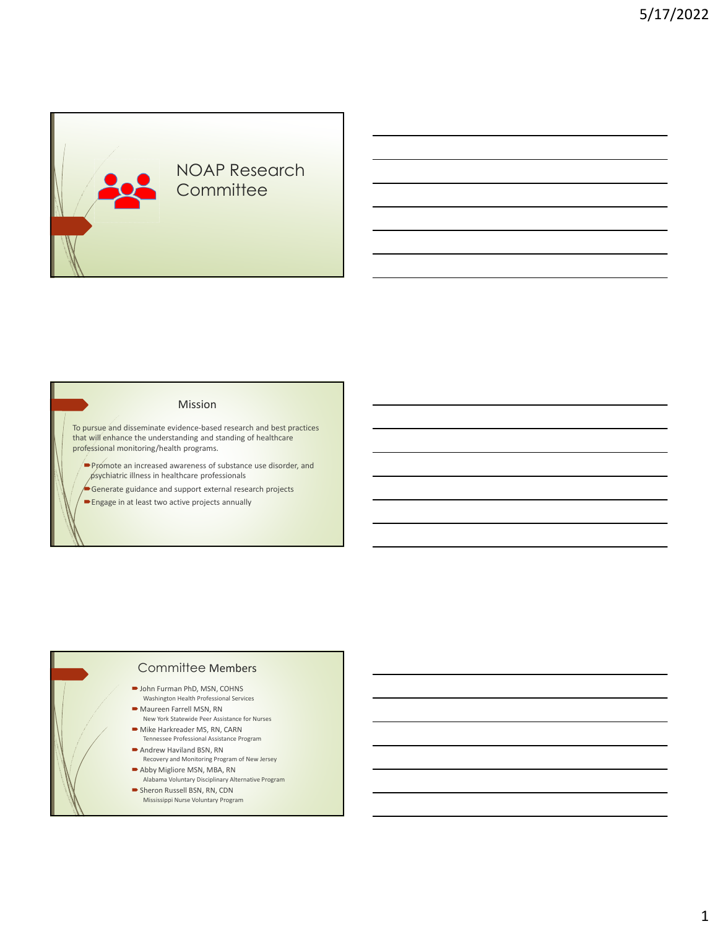# NOAP Research **Committee**

#### Mission

To pursue and disseminate evidence-based research and best practices that will enhance the understanding and standing of healthcare professional monitoring/health programs.

**Promote an increased awareness of substance use disorder, and** psychiatric illness in healthcare professionals

Generate guidance and support external research projects

Engage in at least two active projects annually

# Committee Members

- John Furman PhD, MSN, COHNS Washington Health Professional Services
- Maureen Farrell MSN, RN
- New York Statewide Peer Assistance for Nurses Mike Harkreader MS, RN, CARN
- Tennessee Professional Assistance Program Andrew Haviland BSN, RN
- Recovery and Monitoring Program of New Jersey
- Abby Migliore MSN, MBA, RN Alabama Voluntary Disciplinary Alternative Program
- Sheron Russell BSN, RN, CDN Mississippi Nurse Voluntary Program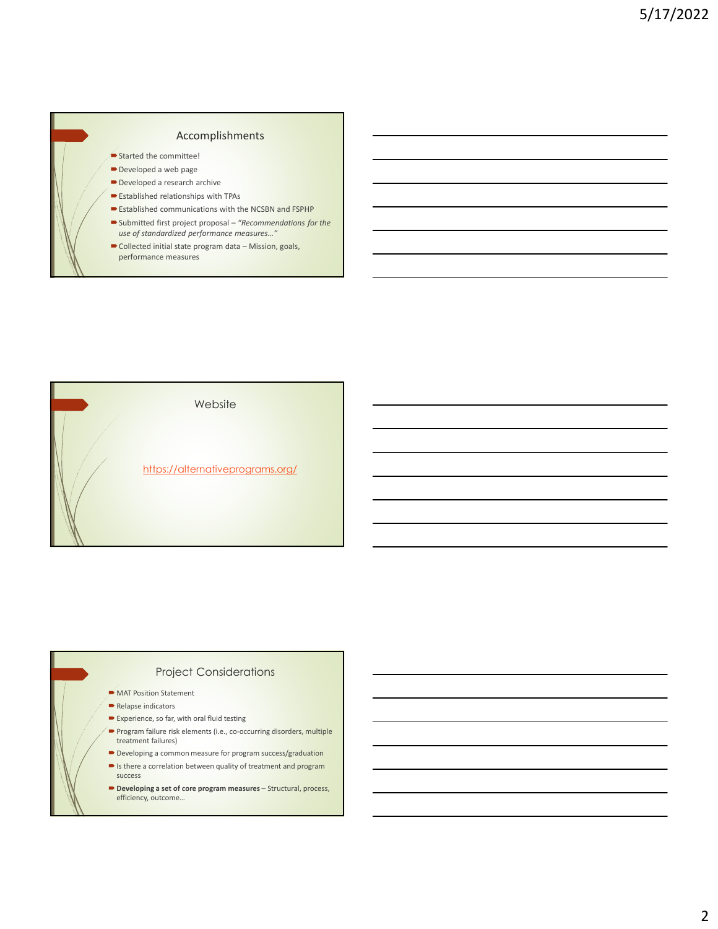#### Accomplishments

- Started the committee!
- Developed a web page
- Developed a research archive
- Established relationships with TPAs
- Established communications with the NCSBN and FSPHP Submitted first project proposal – *"Recommendations for the*
- *use of standardized performance measures…"*
- Collected initial state program data Mission, goals, performance measures



## Project Considerations

- **MAT Position Statement**
- Relapse indicators
- $\blacktriangleright$  Experience, so far, with oral fluid testing
- Program failure risk elements (i.e., co-occurring disorders, multiple treatment failures)
- $\blacktriangleright$  Developing a common measure for program success/graduation
- $\blacktriangleright$  Is there a correlation between quality of treatment and program success
- Developing a set of core program measures Structural, process, efficiency, outcome…